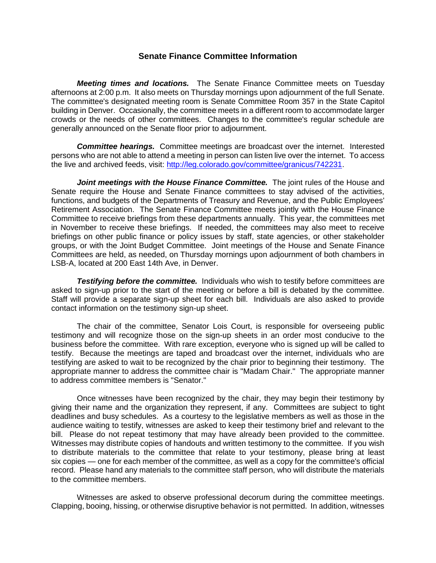## **Senate Finance Committee Information**

*Meeting times and locations.* The Senate Finance Committee meets on Tuesday afternoons at 2:00 p.m. It also meets on Thursday mornings upon adjournment of the full Senate. The committee's designated meeting room is Senate Committee Room 357 in the State Capitol building in Denver. Occasionally, the committee meets in a different room to accommodate larger crowds or the needs of other committees. Changes to the committee's regular schedule are generally announced on the Senate floor prior to adjournment.

*Committee hearings.* Committee meetings are broadcast over the internet. Interested persons who are not able to attend a meeting in person can listen live over the internet. To access the live and archived feeds, visit: [http://leg.colorado.gov/committee/granicus/742231.](http://leg.colorado.gov/committee/granicus/742231)

*Joint meetings with the House Finance Committee.* The joint rules of the House and Senate require the House and Senate Finance committees to stay advised of the activities, functions, and budgets of the Departments of Treasury and Revenue, and the Public Employees' Retirement Association. The Senate Finance Committee meets jointly with the House Finance Committee to receive briefings from these departments annually. This year, the committees met in November to receive these briefings. If needed, the committees may also meet to receive briefings on other public finance or policy issues by staff, state agencies, or other stakeholder groups, or with the Joint Budget Committee. Joint meetings of the House and Senate Finance Committees are held, as needed, on Thursday mornings upon adjournment of both chambers in LSB-A, located at 200 East 14th Ave, in Denver.

*Testifying before the committee.* Individuals who wish to testify before committees are asked to sign-up prior to the start of the meeting or before a bill is debated by the committee. Staff will provide a separate sign-up sheet for each bill. Individuals are also asked to provide contact information on the testimony sign-up sheet.

The chair of the committee, Senator Lois Court, is responsible for overseeing public testimony and will recognize those on the sign-up sheets in an order most conducive to the business before the committee. With rare exception, everyone who is signed up will be called to testify. Because the meetings are taped and broadcast over the internet, individuals who are testifying are asked to wait to be recognized by the chair prior to beginning their testimony. The appropriate manner to address the committee chair is "Madam Chair." The appropriate manner to address committee members is "Senator."

Once witnesses have been recognized by the chair, they may begin their testimony by giving their name and the organization they represent, if any. Committees are subject to tight deadlines and busy schedules. As a courtesy to the legislative members as well as those in the audience waiting to testify, witnesses are asked to keep their testimony brief and relevant to the bill. Please do not repeat testimony that may have already been provided to the committee. Witnesses may distribute copies of handouts and written testimony to the committee. If you wish to distribute materials to the committee that relate to your testimony, please bring at least six copies — one for each member of the committee, as well as a copy for the committee's official record. Please hand any materials to the committee staff person, who will distribute the materials to the committee members.

Witnesses are asked to observe professional decorum during the committee meetings. Clapping, booing, hissing, or otherwise disruptive behavior is not permitted. In addition, witnesses